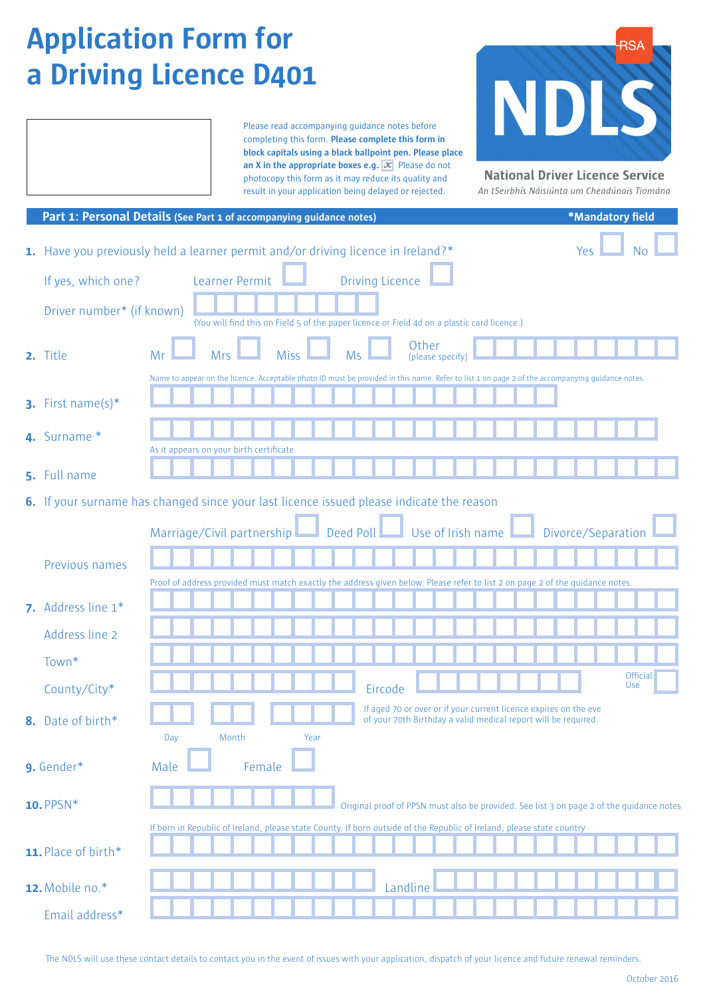# **Application Form for a Driving Licence D401**

Please read accompanying guidance notes before completing this form. **Please complete this form in block capitals using a black ballpoint pen. Please place an X in the appropriate boxes e.g.**  $\boxed{\mathcal{X}}$  Please do not photocopy this form as it may reduce its quality and result in your application being delayed or rejected.



**National Driver Licence Service** 

An tSeirbhís Náisiúnta um Cheadúnais Tiomána

|                           | Part 1: Personal Details (See Part 1 of accompanying guidance notes)                                                                            | *Mandatory field       |
|---------------------------|-------------------------------------------------------------------------------------------------------------------------------------------------|------------------------|
|                           | 1. Have you previously held a learner permit and/or driving licence in Ireland?*                                                                | Yes                    |
| If yes, which one?        | <b>Driving Licence</b><br>Learner Permit                                                                                                        |                        |
| Driver number* (if known) | (You will find this on Field 5 of the paper licence or Field 4d on a plastic card licence.)                                                     |                        |
| 2. Title                  | Other<br>Miss<br><b>Mrs</b><br>Mr<br><b>Ms</b><br>(please specify)                                                                              |                        |
|                           | Name to appear on the licence. Acceptable photo ID must be provided in this name. Refer to list 1 on page 2 of the accompanying guidance notes. |                        |
| 3. First name(s) $*$      |                                                                                                                                                 |                        |
| 4. Surname *              | As it appears on your birth certificate                                                                                                         |                        |
| 5. Full name              |                                                                                                                                                 |                        |
|                           |                                                                                                                                                 |                        |
|                           | 6. If your surname has changed since your last licence issued please indicate the reason                                                        |                        |
|                           | Deed Poll Use of Irish name<br>Marriage/Civil partnership                                                                                       | Divorce/Separation     |
| Previous names            |                                                                                                                                                 |                        |
|                           | Proof of address provided must match exactly the address given below. Please refer to list 2 on page 2 of the guidance notes.                   |                        |
| 7. Address line 1*        |                                                                                                                                                 |                        |
| Address line 2            |                                                                                                                                                 |                        |
| Town*                     |                                                                                                                                                 |                        |
| County/City*              | Eircode                                                                                                                                         | <b>Official</b><br>Use |
| 8. Date of birth*         | If aged 70 or over or if your current licence expires on the eve<br>of your 70th Birthday a valid medical report will be required.              |                        |
|                           | Year<br>Day<br>Month                                                                                                                            |                        |
| 9. Gender*                | Female<br>Male                                                                                                                                  |                        |
| 10. PPSN*                 | Original proof of PPSN must also be provided. See list 3 on page 2 of the guidance notes                                                        |                        |
|                           | If born in Republic of Ireland, please state County. If born outside of the Republic of Ireland, please state country                           |                        |
| 11. Place of birth*       |                                                                                                                                                 |                        |
| 12. Mobile no.*           | Landline                                                                                                                                        |                        |
| Email address*            |                                                                                                                                                 |                        |

The NDLS will use these contact details to contact you in the event of issues with your application, dispatch of your licence and future renewal reminders.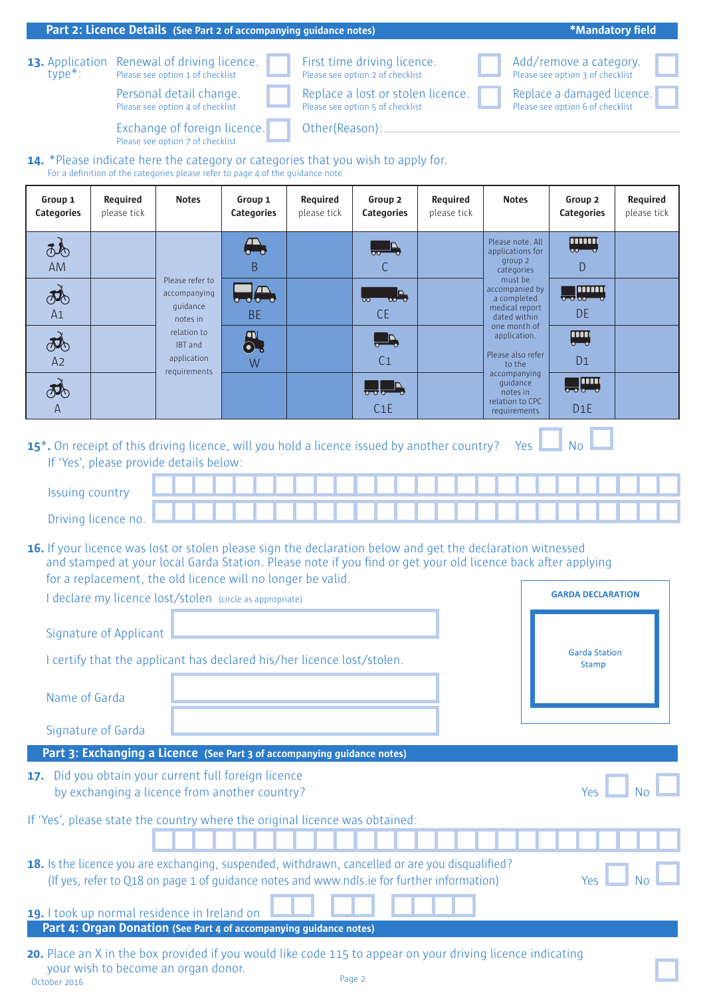#### **Part 2: Licence Details** (See Part 2 of accompanying guidance notes) **Alternative Constantine Constantine Constantine Constantine A Description of**

**13.** Application Renewal of driving licence. **Addels** First time driving licence. Add/remove a category.<br>
The Please see option 3 of checklist Please see option 2 of checklist Please see option 3 of checklist

Please see option 4 of checklist **Please see option 5 of checklist** Please see option 6 of checklist Personal detail change.

First time driving licence. **Category Vehicle**  Personal detail change. **Comparise a lost of stolen licence. Comparise Replace a damaged licence** Pase see option 5 of checklist **Category** 

Add/remove a category. Please see option 2 of checklist<br>
Please see option 3 of ee option 2 of checklist in the case of the control of the checklis and the control of checklis

Replace a damaged licence. <mark>e see opt</mark>ic Large Truck – over 3,500 kg

**\*Mandatory field** 

**Vehicle** 

Small Truck – less than 7,500 kg

Small Truck – less than 7,500 kg

Small Truck and Trailer – no

**Exchange of foreign licence.** The Other(Reason): <u>Category and a set</u> **Please see option 7 of checklist CROUP 2 CENTER (NewsLIP)** 

**Other**(Reaso 45Km 7, 000 kg m 7, 000 kg m 7, 000 kg m 7, 000 kg m 7, 000 kg m 7, 000 kg m 7, 000 kg m 7, 000 kg m 7, 000 kg **GROUP 1 GROUP 2 GROUP 2 GROUP 2 GROUP 2 GROUP 2 GROUP 2 GROUP 2 GROUP 2 GROUP 2 GROUP 2 GROUP 2 GROUP 2 GROUP** 11KW **GROUP 1 GROUP 2 GROUP** 2 GROUP 2 GROUP 2 GROUP 2 GROUP 2 GROUP 2 GROUP 2 GROUP 2 GROUP 2 GROUP 2 GROUP 2 GROUP 2 GROUP 2 GROUP 2 GROUP 2 GROUP 2 GROUP 2 GROUP 2 GROUP 2 GROUP 2 GROUP 2 GROUP 2 GROUP 2 GROUP 2 GROUP 2 GROUP 2 GROUP 2 GROU

#### **14.** \*Please indicate here the category or categories that you wish to apply for.<br>For a definition of the categories please refer to page 4 of the guidance note  $\overline{a}$  and  $\overline{b}$ **Description of Vehicle Description of**

M

M

A1

A1

50c.c.

definition of the categories please refer to page 4 of the guidance note **Description of Licence**  11KW **Category** 

| Group 1<br><b>Categories</b> | Required<br>please tick | <b>Notes</b>                                            | Group 1<br>Categories        | Required<br>please tick | Group 2<br><b>Categories</b>                     | Required<br>please tick | <b>Notes</b>                                                               | Group 2<br><b>Categories</b> | Required<br>please tick |
|------------------------------|-------------------------|---------------------------------------------------------|------------------------------|-------------------------|--------------------------------------------------|-------------------------|----------------------------------------------------------------------------|------------------------------|-------------------------|
| Q<br>AM                      |                         |                                                         | $\bigoplus$<br>B             |                         | $\overline{\text{O}}$<br>С                       |                         | Please note. All<br>applications for<br>group 2<br>categories              | $\mathsf{D}$                 |                         |
| $\partial\Phi$<br>A1         |                         | Please refer to<br>accompanying<br>quidance<br>notes in | $\Box \oplus$<br><b>BE</b>   |                         | $\overline{\mathbf{A}}$<br>$\infty$<br><b>CE</b> |                         | must be<br>accompanied by<br>a completed<br>medical report<br>dated within | <b>Je Hund</b><br><b>DE</b>  |                         |
| <b>DO</b><br>A2              |                         | relation to<br><b>IBT</b> and<br>application            | $\partial \overline{S}$<br>W |                         | $\overline{\phantom{a}}$<br>C <sub>1</sub>       |                         | one month of<br>application.<br>Please also refer<br>to the                | <b>UTI</b><br>D <sub>1</sub> |                         |
| <b>JO</b><br>$\mathsf{A}$    |                         | requirements                                            |                              |                         | $\frac{1}{2}$ , $\frac{1}{2}$<br>C1E             |                         | accompanying<br>quidance<br>notes in<br>relation to CPC<br>requirements    | $\Box$<br>D1E                |                         |

**15<sup>\*</sup>.** On receipt of this driving licence, will you hold a licence issued by another country? Yes  $\Box$  No If 'Yes', please provide details below:  $\overline{\text{ou}}$  a licence issued by another country?  $\overline{\phantom{a}}$  res 15<sup>\*</sup> On receipt of this driving licence will you hold a licence issued by another country **15** $^{\circ}$ . On receipt of this driving licen ED Large Bus and Trailer **15<sup>\*</sup>.** On receipt of this driving licence, will you hold a licence issued by another country? Yes D receipt of this driving licence, will you hold a licence issued by another country? Yes **LAN No LAN**<br>S' please provide details below:  $\overline{a}$ Large Bus – more than 8

| <b>Issuing country</b> |  |  |  |  |  |  |  |  |  |  |  |  |  |
|------------------------|--|--|--|--|--|--|--|--|--|--|--|--|--|
| Driving licence no.    |  |  |  |  |  |  |  |  |  |  |  |  |  |

**16.** If your licence was lost or stolen please sign the declaration below and get the declaration witnessed and stamped at your local Garda Station. Please note if you find or get your old licence back after applying for a replacement, the old licence will no longer be valid. licence was lost or stolen please sign the declaration below and get the declaration with

I declare my licence lost/stolen (circle as appropriate)

I certify that the applicant has declared his/her licence lost/stolen.

| <b>GARDA DECLARATION</b>             |  |  |  |  |  |  |  |  |
|--------------------------------------|--|--|--|--|--|--|--|--|
| <b>Garda Station</b><br><b>Stamp</b> |  |  |  |  |  |  |  |  |

Name of Garda

Signature of Applicant

Signature of Garda

#### **Part 3: Exchanging a Licence (See Part 3 of accompanying guidance notes)**

**17.** Did you obtain your current full foreign licence by exchanging a licence from another country?

If 'Yes', please state the country where the original licence was obtained:

**18.** Is the licence you are exchanging, suspended, withdrawn, cancelled or are you disqualified? (If yes, refer to Q18 on page 1 of guidance notes and www.ndls.ie for further information)

**19.** I took up normal residence in Ireland on **Day Month Year Part 4: Organ Donation (See Part 4 of accompanying guidance notes)** 

**20.** Place an X in the box provided if you would like code 115 to appear on your driving licence indicating your wish to become an organ donor. October 2016 Page 2



 $\overline{a}$ 

**GROUP 1 GROUP 2 GROUP 2 GROUP 2 GROUP 2 GROUP**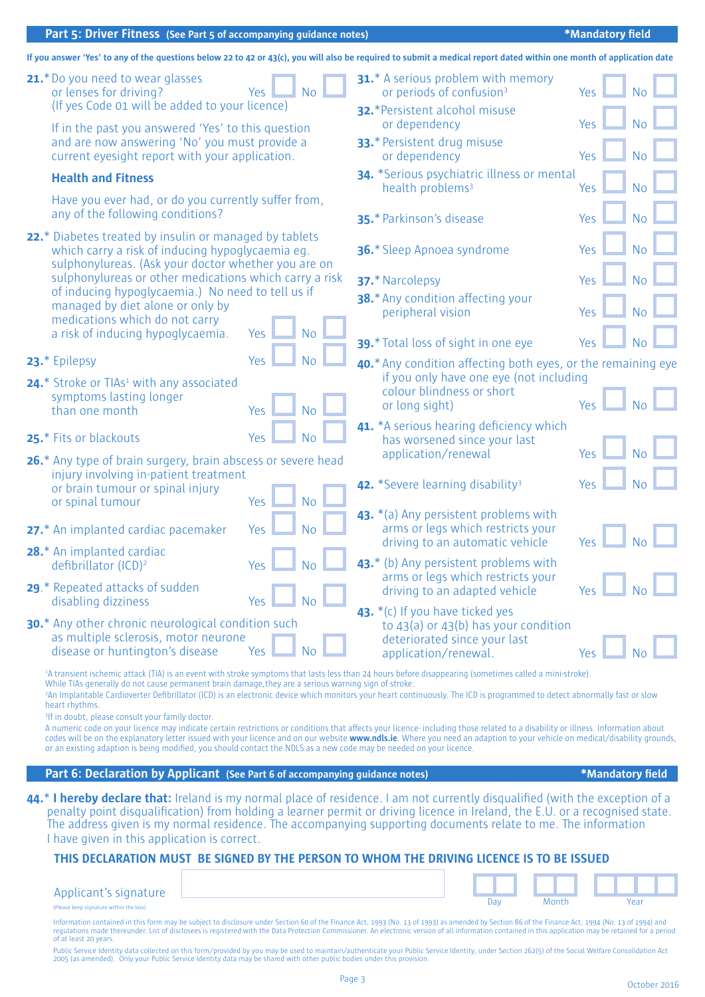#### **Part 5: Driver Fitness** (See Part 5 of accompanying guidance notes) **1999 1999 1999 1999 1999 1999 1999 1999 1999 1999 1999 1999 1999 1999 1999 1999 1999 1999 1999 1999 1999 1999**

|               |                                                                                                                                                                                                                                                                                                               |     |                | If you answer 'Yes' to any of the questions below 22 to 42 or 43(c), you will also be required to submit a medical report dated within one month of application date                                                                                                                                                                                                                                                                                                                                                                                                                                                                                                                                                         |                  |           |
|---------------|---------------------------------------------------------------------------------------------------------------------------------------------------------------------------------------------------------------------------------------------------------------------------------------------------------------|-----|----------------|------------------------------------------------------------------------------------------------------------------------------------------------------------------------------------------------------------------------------------------------------------------------------------------------------------------------------------------------------------------------------------------------------------------------------------------------------------------------------------------------------------------------------------------------------------------------------------------------------------------------------------------------------------------------------------------------------------------------------|------------------|-----------|
|               | 21.* Do you need to wear glasses<br>or lenses for driving?<br>(If yes Code 01 will be added to your licence)                                                                                                                                                                                                  | Yes | <b>No</b>      | <b>31.*</b> A serious problem with memory<br>or periods of confusion <sup>3</sup><br>32.*Persistent alcohol misuse                                                                                                                                                                                                                                                                                                                                                                                                                                                                                                                                                                                                           | Yes              |           |
|               | If in the past you answered 'Yes' to this question                                                                                                                                                                                                                                                            |     |                | or dependency                                                                                                                                                                                                                                                                                                                                                                                                                                                                                                                                                                                                                                                                                                                | Yes              |           |
|               | and are now answering 'No' you must provide a<br>current eyesight report with your application.                                                                                                                                                                                                               |     |                | 33.* Persistent drug misuse<br>or dependency                                                                                                                                                                                                                                                                                                                                                                                                                                                                                                                                                                                                                                                                                 | Yes              |           |
|               | <b>Health and Fitness</b><br>Have you ever had, or do you currently suffer from,                                                                                                                                                                                                                              |     |                | 34. *Serious psychiatric illness or mental<br>health problems <sup>3</sup>                                                                                                                                                                                                                                                                                                                                                                                                                                                                                                                                                                                                                                                   | Yes              | <b>No</b> |
|               | any of the following conditions?                                                                                                                                                                                                                                                                              |     |                | 35.* Parkinson's disease                                                                                                                                                                                                                                                                                                                                                                                                                                                                                                                                                                                                                                                                                                     | Yes              | No        |
|               | 22.* Diabetes treated by insulin or managed by tablets<br>which carry a risk of inducing hypoglycaemia eg.<br>sulphonylureas. (Ask your doctor whether you are on                                                                                                                                             |     |                | 36.* Sleep Apnoea syndrome                                                                                                                                                                                                                                                                                                                                                                                                                                                                                                                                                                                                                                                                                                   | Yes              | <b>No</b> |
|               | sulphonylureas or other medications which carry a risk                                                                                                                                                                                                                                                        |     |                | 37.* Narcolepsy                                                                                                                                                                                                                                                                                                                                                                                                                                                                                                                                                                                                                                                                                                              | Yes              | <b>No</b> |
|               | of inducing hypoglycaemia.) No need to tell us if<br>managed by diet alone or only by<br>medications which do not carry                                                                                                                                                                                       |     |                | 38.* Any condition affecting your<br>peripheral vision                                                                                                                                                                                                                                                                                                                                                                                                                                                                                                                                                                                                                                                                       | Yes              |           |
|               | a risk of inducing hypoglycaemia.                                                                                                                                                                                                                                                                             | Yes | <b>No</b>      | 39.* Total loss of sight in one eye                                                                                                                                                                                                                                                                                                                                                                                                                                                                                                                                                                                                                                                                                          | Yes              | No        |
| 23.* Epilepsy |                                                                                                                                                                                                                                                                                                               | Yes | <b>No</b>      | 40.* Any condition affecting both eyes, or the remaining eye                                                                                                                                                                                                                                                                                                                                                                                                                                                                                                                                                                                                                                                                 |                  |           |
|               | 24.* Stroke or TIAs <sup>1</sup> with any associated<br>symptoms lasting longer                                                                                                                                                                                                                               |     |                | if you only have one eye (not including<br>colour blindness or short                                                                                                                                                                                                                                                                                                                                                                                                                                                                                                                                                                                                                                                         |                  |           |
|               | than one month                                                                                                                                                                                                                                                                                                | Yes | <b>No</b>      | or long sight)                                                                                                                                                                                                                                                                                                                                                                                                                                                                                                                                                                                                                                                                                                               | Yes              |           |
|               | 25.* Fits or blackouts                                                                                                                                                                                                                                                                                        | Yes | <b>No</b>      | 41. *A serious hearing deficiency which<br>has worsened since your last                                                                                                                                                                                                                                                                                                                                                                                                                                                                                                                                                                                                                                                      | Yes              |           |
|               | 26.* Any type of brain surgery, brain abscess or severe head<br>injury involving in-patient treatment                                                                                                                                                                                                         |     |                | application/renewal                                                                                                                                                                                                                                                                                                                                                                                                                                                                                                                                                                                                                                                                                                          |                  |           |
|               | or brain tumour or spinal injury<br>or spinal tumour                                                                                                                                                                                                                                                          |     |                | 42. *Severe learning disability <sup>3</sup>                                                                                                                                                                                                                                                                                                                                                                                                                                                                                                                                                                                                                                                                                 | Yes              |           |
|               |                                                                                                                                                                                                                                                                                                               | Yes | <b>No</b>      | 43. *(a) Any persistent problems with                                                                                                                                                                                                                                                                                                                                                                                                                                                                                                                                                                                                                                                                                        |                  |           |
|               | 27.* An implanted cardiac pacemaker                                                                                                                                                                                                                                                                           | Yes | <b>No</b>      | arms or legs which restricts your<br>driving to an automatic vehicle                                                                                                                                                                                                                                                                                                                                                                                                                                                                                                                                                                                                                                                         | Yes              |           |
|               | 28.* An implanted cardiac<br>defibrillator (ICD) <sup>2</sup>                                                                                                                                                                                                                                                 | Yes |                | 43.* (b) Any persistent problems with<br>arms or legs which restricts your                                                                                                                                                                                                                                                                                                                                                                                                                                                                                                                                                                                                                                                   |                  |           |
|               | 29.* Repeated attacks of sudden<br>disabling dizziness                                                                                                                                                                                                                                                        | Yes | N <sub>o</sub> | driving to an adapted vehicle                                                                                                                                                                                                                                                                                                                                                                                                                                                                                                                                                                                                                                                                                                | Yes              | <b>No</b> |
|               | <b>30.*</b> Any other chronic neurological condition such                                                                                                                                                                                                                                                     |     |                | 43. *(c) If you have ticked yes<br>to $43(a)$ or $43(b)$ has your condition                                                                                                                                                                                                                                                                                                                                                                                                                                                                                                                                                                                                                                                  |                  |           |
|               | as multiple sclerosis, motor neurone<br>disease or huntington's disease                                                                                                                                                                                                                                       | Yes | <b>No</b>      | deteriorated since your last<br>application/renewal.                                                                                                                                                                                                                                                                                                                                                                                                                                                                                                                                                                                                                                                                         | Yes              |           |
|               | While TIAs generally do not cause permanent brain damage, they are a serious warning sign of stroke.<br>heart rhythms.<br><sup>3</sup> If in doubt, please consult your family doctor.<br>or an existing adaption is being modified, you should contact the NDLS as a new code may be needed on your licence. |     |                | <sup>1</sup> A transient ischemic attack (TIA) is an event with stroke symptoms that lasts less than 24 hours before disappearing (sometimes called a mini-stroke).<br><sup>2</sup> An Implantable Cardioverter Defibrillator (ICD) is an electronic device which monitors your heart continuously. The ICD is programmed to detect abnormally fast or slow<br>A numeric code on your licence may indicate certain restrictions or conditions that affects your licence- including those related to a disability or illness. Information about<br>codes will be on the explanatory letter issued with your licence and on our website www.ndls.ie. Where you need an adaption to your vehicle on medical/disability grounds, |                  |           |
|               | Part 6: Declaration by Applicant (See Part 6 of accompanying guidance notes)                                                                                                                                                                                                                                  |     |                |                                                                                                                                                                                                                                                                                                                                                                                                                                                                                                                                                                                                                                                                                                                              | *Mandatory field |           |
|               |                                                                                                                                                                                                                                                                                                               |     |                | 44.* I hereby declare that: Ireland is my normal place of residence. I am not currently disqualified (with the exception of a<br>penalty point disqualification) from holding a learner permit or driving licence in Ireland, the E.U. or a recognised state.                                                                                                                                                                                                                                                                                                                                                                                                                                                                |                  |           |

The address given is my normal residence. The accompanying supporting documents relate to me. The information I have given in this application is correct.

#### **THIS DECLARATION MUST BE SIGNED BY THE PERSON TO WHOM THE DRIVING LICENCE IS TO BE ISSUED**

| Applicant's signature                  |  |       |      |
|----------------------------------------|--|-------|------|
| (Please keep signature within the box) |  | Month | Yeai |

Information contained in this form may be subject to disclosure under Section 60 of the Finance Act, 1993 (No. 13 of 1993) as amended by Section 86 of the Finance Act, 1994 (No. 13 of 1994) and<br>regulations made thereunder. of at least 20 years.

Public Service Identity data collected on this form/provided by you may be used to maintain/authenticate your Public Service Identity, under Section 262(5) of the Social Welfare Consolidation Act<br>2005 (as amended). Only yo